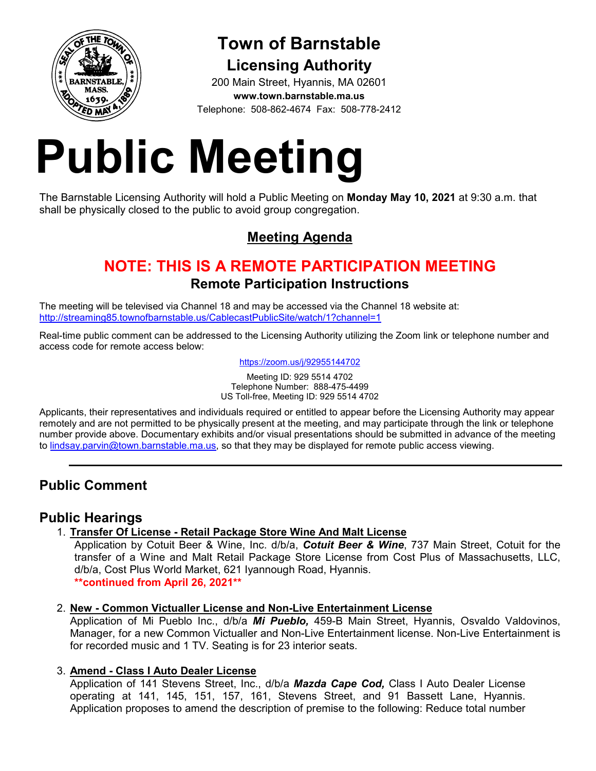

# **Town of Barnstable Licensing Authority**

200 Main Street, Hyannis, MA 02601 **www.town.barnstable.ma.us** Telephone: 508-862-4674 Fax: 508-778-2412

# **Public Meeting**

The Barnstable Licensing Authority will hold a Public Meeting on **Monday May 10, 2021** at 9:30 a.m. that shall be physically closed to the public to avoid group congregation.

# **Meeting Agenda**

# **NOTE: THIS IS A REMOTE PARTICIPATION MEETING Remote Participation Instructions**

The meeting will be televised via Channel 18 and may be accessed via the Channel 18 website at: http://streaming85.townofbarnstable.us/CablecastPublicSite/watch/1?channel=1

Real-time public comment can be addressed to the Licensing Authority utilizing the Zoom link or telephone number and access code for remote access below:

https://zoom.us/j/92955144702

Meeting ID: 929 5514 4702 Telephone Number: 888-475-4499 US Toll-free, Meeting ID: 929 5514 4702

Applicants, their representatives and individuals required or entitled to appear before the Licensing Authority may appear remotely and are not permitted to be physically present at the meeting, and may participate through the link or telephone number provide above. Documentary exhibits and/or visual presentations should be submitted in advance of the meeting to lindsay.parvin@town.barnstable.ma.us, so that they may be displayed for remote public access viewing.

# **Public Comment**

## **Public Hearings**

1. **Transfer Of License - Retail Package Store Wine And Malt License** 

Application by Cotuit Beer & Wine, Inc. d/b/a, *Cotuit Beer & Wine*, 737 Main Street, Cotuit for the transfer of a Wine and Malt Retail Package Store License from Cost Plus of Massachusetts, LLC, d/b/a, Cost Plus World Market, 621 Iyannough Road, Hyannis. **\*\*continued from April 26, 2021\*\*** 

#### 2. **New - Common Victualler License and Non-Live Entertainment License**

Application of Mi Pueblo Inc., d/b/a *Mi Pueblo,* 459-B Main Street, Hyannis, Osvaldo Valdovinos, Manager, for a new Common Victualler and Non-Live Entertainment license. Non-Live Entertainment is for recorded music and 1 TV. Seating is for 23 interior seats.

#### 3. **Amend - Class I Auto Dealer License**

Application of 141 Stevens Street, Inc., d/b/a *Mazda Cape Cod,* Class I Auto Dealer License operating at 141, 145, 151, 157, 161, Stevens Street, and 91 Bassett Lane, Hyannis. Application proposes to amend the description of premise to the following: Reduce total number